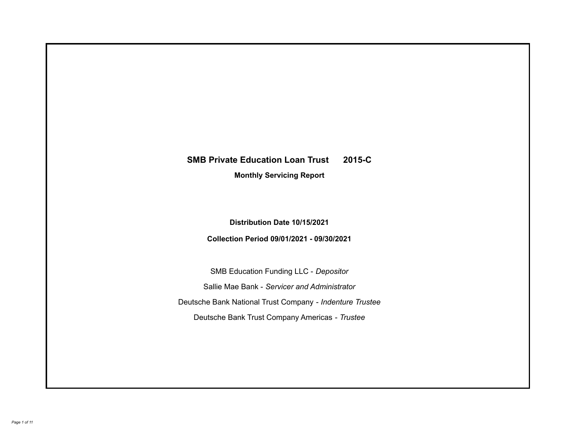# **SMB Private Education Loan Trust 2015-C**

**Monthly Servicing Report**

**Distribution Date 10/15/2021**

**Collection Period 09/01/2021 - 09/30/2021**

SMB Education Funding LLC - *Depositor* Sallie Mae Bank - *Servicer and Administrator* Deutsche Bank National Trust Company - *Indenture Trustee* Deutsche Bank Trust Company Americas - *Trustee*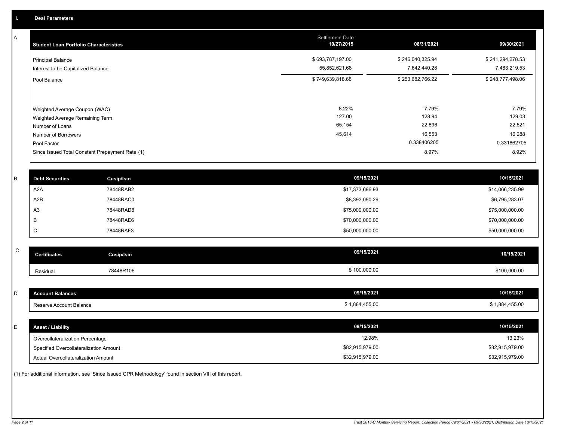A

| <b>Student Loan Portfolio Characteristics</b>                                                                             | <b>Settlement Date</b><br>10/27/2015 | 08/31/2021                                         | 09/30/2021                                         |
|---------------------------------------------------------------------------------------------------------------------------|--------------------------------------|----------------------------------------------------|----------------------------------------------------|
| <b>Principal Balance</b><br>Interest to be Capitalized Balance                                                            | \$693,787,197.00<br>55,852,621.68    | \$246,040,325.94<br>7,642,440.28                   | \$241,294,278.53<br>7,483,219.53                   |
| Pool Balance                                                                                                              | \$749,639,818.68                     | \$253,682,766.22                                   | \$248,777,498.06                                   |
| Weighted Average Coupon (WAC)<br>Weighted Average Remaining Term<br>Number of Loans<br>Number of Borrowers<br>Pool Factor | 8.22%<br>127.00<br>65,154<br>45,614  | 7.79%<br>128.94<br>22,896<br>16,553<br>0.338406205 | 7.79%<br>129.03<br>22,521<br>16,288<br>0.331862705 |
| Since Issued Total Constant Prepayment Rate (1)                                                                           |                                      | 8.97%                                              | 8.92%                                              |

| <b>Debt Securities</b> | <b>Cusip/Isin</b> | 09/15/2021      | 10/15/2021      |
|------------------------|-------------------|-----------------|-----------------|
| A2A                    | 78448RAB2         | \$17,373,696.93 | \$14,066,235.99 |
| A2B                    | 78448RAC0         | \$8,393,090.29  | \$6,795,283.07  |
| A <sub>3</sub>         | 78448RAD8         | \$75,000,000.00 | \$75,000,000.00 |
|                        | 78448RAE6         | \$70,000,000.00 | \$70,000,000.00 |
| ◡                      | 78448RAF3         | \$50,000,000.00 | \$50,000,000.00 |

| $\sim$<br>◡ | <b>Certificates</b> | Cusip/Isin | 09/15/2021   | 10/15/2021   |
|-------------|---------------------|------------|--------------|--------------|
|             | Residual            | 78448R106  | \$100,000.00 | \$100,000.00 |

| <b>Account Balances</b>                | 09/15/2021      | 10/15/2021      |
|----------------------------------------|-----------------|-----------------|
| Reserve Account Balance                | \$1,884,455.00  | \$1,884,455.00  |
|                                        |                 |                 |
| <b>Asset / Liability</b>               | 09/15/2021      | 10/15/2021      |
| Overcollateralization Percentage       | 12.98%          | 13.23%          |
| Specified Overcollateralization Amount | \$82,915,979.00 | \$82,915,979.00 |
| Actual Overcollateralization Amount    | \$32,915,979.00 | \$32,915,979.00 |

(1) For additional information, see 'Since Issued CPR Methodology' found in section VIII of this report .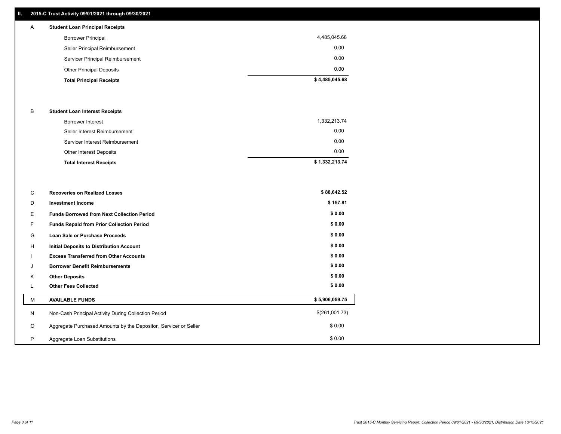# **II. 2015-C Trust Activity 09/01/2021 through 09/30/2021**

# A **Student Loan Principal Receipts**

| <b>Total Principal Receipts</b>  | \$4,485,045.68 |
|----------------------------------|----------------|
| <b>Other Principal Deposits</b>  | 0.00           |
| Servicer Principal Reimbursement | 0.00           |
| Seller Principal Reimbursement   | 0.00           |
| <b>Borrower Principal</b>        | 4,485,045.68   |
|                                  |                |

### B **Student Loan Interest Receipts**

| Borrower Interest               | 1,332,213.74   |
|---------------------------------|----------------|
| Seller Interest Reimbursement   | 0.00           |
| Servicer Interest Reimbursement | 0.00           |
| Other Interest Deposits         | 0.00           |
| <b>Total Interest Receipts</b>  | \$1,332,213.74 |

| C       | <b>Recoveries on Realized Losses</b>                             | \$88,642.52    |
|---------|------------------------------------------------------------------|----------------|
| D       | <b>Investment Income</b>                                         | \$157.81       |
| Е       | <b>Funds Borrowed from Next Collection Period</b>                | \$0.00         |
|         | Funds Repaid from Prior Collection Period                        | \$0.00         |
| G       | Loan Sale or Purchase Proceeds                                   | \$0.00         |
| H       | Initial Deposits to Distribution Account                         | \$0.00         |
|         | <b>Excess Transferred from Other Accounts</b>                    | \$0.00         |
| J       | <b>Borrower Benefit Reimbursements</b>                           | \$0.00         |
| K       | <b>Other Deposits</b>                                            | \$0.00         |
|         | <b>Other Fees Collected</b>                                      | \$0.00         |
| M       | <b>AVAILABLE FUNDS</b>                                           | \$5,906,059.75 |
| N       | Non-Cash Principal Activity During Collection Period             | \$(261,001.73) |
| $\circ$ | Aggregate Purchased Amounts by the Depositor, Servicer or Seller | \$0.00         |
| P       | Aggregate Loan Substitutions                                     | \$0.00         |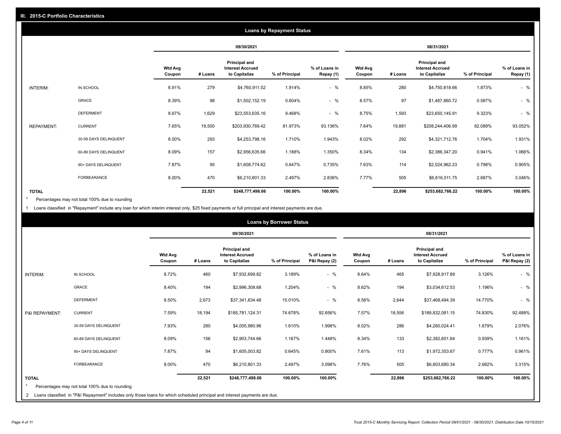|                   | <b>Loans by Repayment Status</b> |                       |                          |            |                                                                  |                |                            |                          |         |                                                           |                |                            |
|-------------------|----------------------------------|-----------------------|--------------------------|------------|------------------------------------------------------------------|----------------|----------------------------|--------------------------|---------|-----------------------------------------------------------|----------------|----------------------------|
|                   |                                  |                       |                          | 09/30/2021 |                                                                  |                | 08/31/2021                 |                          |         |                                                           |                |                            |
|                   |                                  |                       | <b>Wtd Avg</b><br>Coupon | # Loans    | <b>Principal and</b><br><b>Interest Accrued</b><br>to Capitalize | % of Principal | % of Loans in<br>Repay (1) | <b>Wtd Avg</b><br>Coupon | # Loans | Principal and<br><b>Interest Accrued</b><br>to Capitalize | % of Principal | % of Loans in<br>Repay (1) |
| INTERIM:          | IN SCHOOL                        |                       | 8.91%                    | 279        | \$4,760,911.52                                                   | 1.914%         | $-$ %                      | 8.85%                    | 280     | \$4,750,818.66                                            | 1.873%         | $-$ %                      |
|                   | GRACE                            |                       | 8.39%                    | 98         | \$1,502,152.19                                                   | 0.604%         | $-$ %                      | 8.57%                    | 97      | \$1,487,860.72                                            | 0.587%         | $-$ %                      |
|                   | <b>DEFERMENT</b>                 |                       | 8.67%                    | 1,629      | \$23,553,635.16                                                  | 9.468%         | $-$ %                      | 8.75%                    | 1,593   | \$23,650,145.91                                           | 9.323%         | $-$ %                      |
| <b>REPAYMENT:</b> | <b>CURRENT</b>                   |                       | 7.65%                    | 19,500     | \$203,930,789.42                                                 | 81.973%        | 93.136%                    | 7.64%                    | 19,881  | \$208,244,406.99                                          | 82.089%        | 93.052%                    |
|                   |                                  | 30-59 DAYS DELINQUENT | 8.00%                    | 293        | \$4,253,798.16                                                   | 1.710%         | 1.943%                     | 8.02%                    | 292     | \$4,321,712.76                                            | 1.704%         | 1.931%                     |
|                   |                                  | 60-89 DAYS DELINQUENT | 8.09%                    | 157        | \$2,956,635.66                                                   | 1.188%         | 1.350%                     | 8.34%                    | 134     | \$2,386,347.20                                            | 0.941%         | 1.066%                     |
|                   |                                  | 90+ DAYS DELINQUENT   | 7.87%                    | 95         | \$1,608,774.62                                                   | 0.647%         | 0.735%                     | 7.63%                    | 114     | \$2,024,962.23                                            | 0.798%         | 0.905%                     |
|                   | <b>FORBEARANCE</b>               |                       | 8.00%                    | 470        | \$6,210,801.33                                                   | 2.497%         | 2.836%                     | 7.77%                    | 505     | \$6,816,511.75                                            | 2.687%         | 3.046%                     |
| <b>TOTAL</b>      |                                  |                       |                          | 22,521     | \$248,777,498.06                                                 | 100.00%        | 100.00%                    |                          | 22,896  | \$253,682,766.22                                          | 100.00%        | 100.00%                    |

Percentages may not total 100% due to rounding \*

1 Loans classified in "Repayment" include any loan for which interim interest only, \$25 fixed payments or full principal and interest payments are due.

|                         |                                                                                                                              |                          | <b>Loans by Borrower Status</b> |                                                           |                |                                |                          |         |                                                                  |                |                                |
|-------------------------|------------------------------------------------------------------------------------------------------------------------------|--------------------------|---------------------------------|-----------------------------------------------------------|----------------|--------------------------------|--------------------------|---------|------------------------------------------------------------------|----------------|--------------------------------|
|                         |                                                                                                                              |                          | 09/30/2021                      |                                                           |                |                                | 08/31/2021               |         |                                                                  |                |                                |
|                         |                                                                                                                              | <b>Wtd Avg</b><br>Coupon | # Loans                         | Principal and<br><b>Interest Accrued</b><br>to Capitalize | % of Principal | % of Loans in<br>P&I Repay (2) | <b>Wtd Avg</b><br>Coupon | # Loans | <b>Principal and</b><br><b>Interest Accrued</b><br>to Capitalize | % of Principal | % of Loans in<br>P&I Repay (2) |
| <b>INTERIM:</b>         | IN SCHOOL                                                                                                                    | 8.72%                    | 460                             | \$7,932,699.82                                            | 3.189%         | $-$ %                          | 8.64%                    | 465     | \$7,928,917.89                                                   | 3.126%         | $-$ %                          |
|                         | <b>GRACE</b>                                                                                                                 | 8.40%                    | 194                             | \$2,996,308.68                                            | 1.204%         | $-$ %                          | 8.62%                    | 194     | \$3,034,612.53                                                   | 1.196%         | $-$ %                          |
|                         | <b>DEFERMENT</b>                                                                                                             | 8.50%                    | 2,673                           | \$37,341,834.48                                           | 15.010%        | $-$ %                          | 8.56%                    | 2,644   | \$37,468,494.39                                                  | 14.770%        | $-$ %                          |
| P&I REPAYMENT:          | <b>CURRENT</b>                                                                                                               | 7.59%                    | 18,194                          | \$185,781,124.31                                          | 74.678%        | 92.656%                        | 7.57%                    | 18,556  | \$189,832,081.15                                                 | 74.830%        | 92.488%                        |
|                         | 30-59 DAYS DELINQUENT                                                                                                        | 7.93%                    | 280                             | \$4,005,980.96                                            | 1.610%         | 1.998%                         | 8.02%                    | 286     | \$4,260,024.41                                                   | 1.679%         | 2.076%                         |
|                         | 60-89 DAYS DELINQUENT                                                                                                        | 8.09%                    | 156                             | \$2,903,744.66                                            | 1.167%         | 1.448%                         | 8.34%                    | 133     | \$2,382,601.84                                                   | 0.939%         | 1.161%                         |
|                         | 90+ DAYS DELINQUENT                                                                                                          | 7.87%                    | 94                              | \$1,605,003.82                                            | 0.645%         | 0.800%                         | 7.61%                    | 113     | \$1,972,353.67                                                   | 0.777%         | 0.961%                         |
|                         | <b>FORBEARANCE</b>                                                                                                           | 8.00%                    | 470                             | \$6,210,801.33                                            | 2.497%         | 3.098%                         | 7.76%                    | 505     | \$6,803,680.34                                                   | 2.682%         | 3.315%                         |
| <b>TOTAL</b><br>$\star$ | Percentages may not total 100% due to rounding                                                                               |                          | 22,521                          | \$248,777,498.06                                          | 100.00%        | 100.00%                        |                          | 22,896  | \$253,682,766.22                                                 | 100.00%        | 100.00%                        |
|                         | 2 Loans classified in "P&I Repayment" includes only those loans for which scheduled principal and interest payments are due. |                          |                                 |                                                           |                |                                |                          |         |                                                                  |                |                                |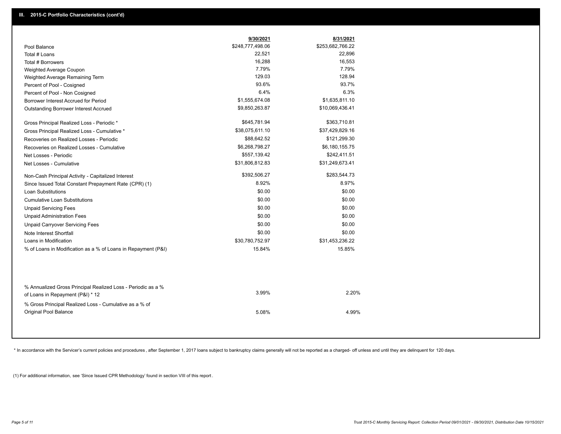|                                                                                        | 9/30/2021        | 8/31/2021        |
|----------------------------------------------------------------------------------------|------------------|------------------|
| Pool Balance                                                                           | \$248,777,498.06 | \$253,682,766.22 |
| Total # Loans                                                                          | 22,521           | 22,896           |
| Total # Borrowers                                                                      | 16,288           | 16,553           |
| Weighted Average Coupon                                                                | 7.79%            | 7.79%            |
| Weighted Average Remaining Term                                                        | 129.03           | 128.94           |
| Percent of Pool - Cosigned                                                             | 93.6%            | 93.7%            |
| Percent of Pool - Non Cosigned                                                         | 6.4%             | 6.3%             |
| Borrower Interest Accrued for Period                                                   | \$1,555,674.08   | \$1,635,811.10   |
| Outstanding Borrower Interest Accrued                                                  | \$9,850,263.87   | \$10,069,436.41  |
| Gross Principal Realized Loss - Periodic *                                             | \$645,781.94     | \$363,710.81     |
| Gross Principal Realized Loss - Cumulative *                                           | \$38,075,611.10  | \$37,429,829.16  |
| Recoveries on Realized Losses - Periodic                                               | \$88,642.52      | \$121,299.30     |
| Recoveries on Realized Losses - Cumulative                                             | \$6,268,798.27   | \$6,180,155.75   |
| Net Losses - Periodic                                                                  | \$557,139.42     | \$242,411.51     |
| Net Losses - Cumulative                                                                | \$31,806,812.83  | \$31,249,673.41  |
| Non-Cash Principal Activity - Capitalized Interest                                     | \$392,506.27     | \$283,544.73     |
| Since Issued Total Constant Prepayment Rate (CPR) (1)                                  | 8.92%            | 8.97%            |
| <b>Loan Substitutions</b>                                                              | \$0.00           | \$0.00           |
| <b>Cumulative Loan Substitutions</b>                                                   | \$0.00           | \$0.00           |
| <b>Unpaid Servicing Fees</b>                                                           | \$0.00           | \$0.00           |
| <b>Unpaid Administration Fees</b>                                                      | \$0.00           | \$0.00           |
| <b>Unpaid Carryover Servicing Fees</b>                                                 | \$0.00           | \$0.00           |
| Note Interest Shortfall                                                                | \$0.00           | \$0.00           |
| Loans in Modification                                                                  | \$30,780,752.97  | \$31,453,236.22  |
| % of Loans in Modification as a % of Loans in Repayment (P&I)                          | 15.84%           | 15.85%           |
| % Annualized Gross Principal Realized Loss - Periodic as a %                           | 3.99%            | 2.20%            |
| of Loans in Repayment (P&I) * 12                                                       |                  |                  |
| % Gross Principal Realized Loss - Cumulative as a % of<br><b>Original Pool Balance</b> | 5.08%            | 4.99%            |

\* In accordance with the Servicer's current policies and procedures, after September 1, 2017 loans subject to bankruptcy claims generally will not be reported as a charged- off unless and until they are delinquent for 120

(1) For additional information, see 'Since Issued CPR Methodology' found in section VIII of this report .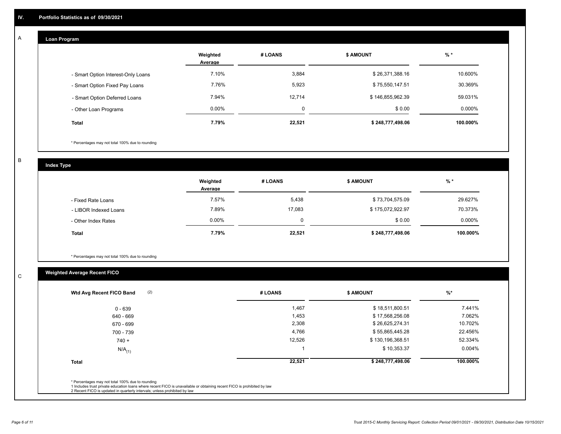#### **Loan Program**  A

|                                    | Weighted<br>Average | # LOANS     | <b>\$ AMOUNT</b> | $%$ *     |
|------------------------------------|---------------------|-------------|------------------|-----------|
| - Smart Option Interest-Only Loans | 7.10%               | 3,884       | \$26,371,388.16  | 10.600%   |
| - Smart Option Fixed Pay Loans     | 7.76%               | 5,923       | \$75,550,147.51  | 30.369%   |
| - Smart Option Deferred Loans      | 7.94%               | 12,714      | \$146,855,962.39 | 59.031%   |
| - Other Loan Programs              | $0.00\%$            | $\mathbf 0$ | \$0.00           | $0.000\%$ |
| <b>Total</b>                       | 7.79%               | 22,521      | \$248,777,498.06 | 100.000%  |

\* Percentages may not total 100% due to rounding

B

C

**Index Type**

|                       | Weighted<br>Average | # LOANS | \$ AMOUNT        | % *       |
|-----------------------|---------------------|---------|------------------|-----------|
| - Fixed Rate Loans    | 7.57%               | 5,438   | \$73,704,575.09  | 29.627%   |
| - LIBOR Indexed Loans | 7.89%               | 17,083  | \$175,072,922.97 | 70.373%   |
| - Other Index Rates   | $0.00\%$            | 0       | \$0.00           | $0.000\%$ |
| <b>Total</b>          | 7.79%               | 22,521  | \$248,777,498.06 | 100.000%  |

\* Percentages may not total 100% due to rounding

# **Weighted Average Recent FICO**

| (2)<br>Wtd Avg Recent FICO Band | # LOANS | <b>\$ AMOUNT</b> | $%$ *     |
|---------------------------------|---------|------------------|-----------|
| $0 - 639$                       | 1,467   | \$18,511,800.51  | 7.441%    |
| 640 - 669                       | 1,453   | \$17,568,256.08  | 7.062%    |
| 670 - 699                       | 2,308   | \$26,625,274.31  | 10.702%   |
| 700 - 739                       | 4,766   | \$55,865,445.28  | 22.456%   |
| $740 +$                         | 12,526  | \$130,196,368.51 | 52.334%   |
| $N/A$ <sub>(1)</sub>            |         | \$10,353.37      | $0.004\%$ |
| <b>Total</b>                    | 22,521  | \$248,777,498.06 | 100.000%  |
|                                 |         |                  |           |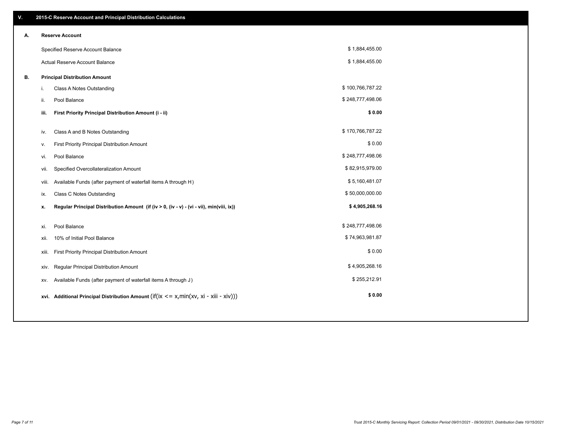| V. |       | 2015-C Reserve Account and Principal Distribution Calculations                           |                  |  |
|----|-------|------------------------------------------------------------------------------------------|------------------|--|
| А. |       | <b>Reserve Account</b>                                                                   |                  |  |
|    |       | Specified Reserve Account Balance                                                        | \$1,884,455.00   |  |
|    |       | Actual Reserve Account Balance                                                           | \$1,884,455.00   |  |
| В. |       | <b>Principal Distribution Amount</b>                                                     |                  |  |
|    | i.    | Class A Notes Outstanding                                                                | \$100,766,787.22 |  |
|    | ii.   | Pool Balance                                                                             | \$248,777,498.06 |  |
|    | iii.  | First Priority Principal Distribution Amount (i - ii)                                    | \$0.00           |  |
|    |       |                                                                                          | \$170,766,787.22 |  |
|    | iv.   | Class A and B Notes Outstanding                                                          |                  |  |
|    | v.    | First Priority Principal Distribution Amount                                             | \$0.00           |  |
|    | vi.   | Pool Balance                                                                             | \$248,777,498.06 |  |
|    | vii.  | Specified Overcollateralization Amount                                                   | \$82,915,979.00  |  |
|    | viii. | Available Funds (after payment of waterfall items A through H)                           | \$5,160,481.07   |  |
|    | ix.   | <b>Class C Notes Outstanding</b>                                                         | \$50,000,000.00  |  |
|    | х.    | Regular Principal Distribution Amount (if (iv > 0, (iv - v) - (vi - vii), min(viii, ix)) | \$4,905,268.16   |  |
|    |       |                                                                                          |                  |  |
|    | xi.   | Pool Balance                                                                             | \$248,777,498.06 |  |
|    | xii.  | 10% of Initial Pool Balance                                                              | \$74,963,981.87  |  |
|    | xiii. | First Priority Principal Distribution Amount                                             | \$0.00           |  |
|    | xiv.  | Regular Principal Distribution Amount                                                    | \$4,905,268.16   |  |
|    | XV.   | Available Funds (after payment of waterfall items A through J)                           | \$255,212.91     |  |
|    |       | xvi. Additional Principal Distribution Amount (if( $ix \le x$ , min $(xv, xi - xiv))$ )  | \$0.00           |  |
|    |       |                                                                                          |                  |  |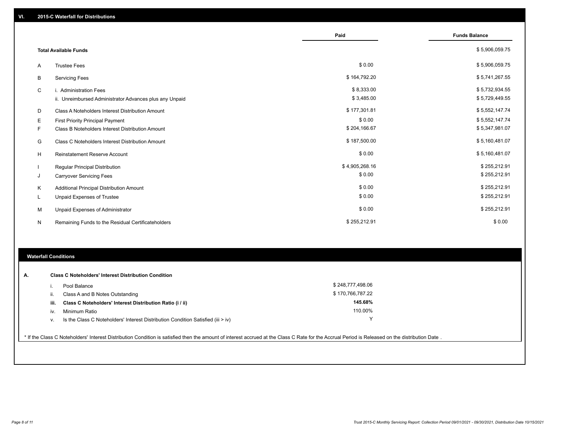|   |                                                         | Paid           | <b>Funds Balance</b> |
|---|---------------------------------------------------------|----------------|----------------------|
|   | <b>Total Available Funds</b>                            |                | \$5,906,059.75       |
| A | <b>Trustee Fees</b>                                     | \$0.00         | \$5,906,059.75       |
| В | <b>Servicing Fees</b>                                   | \$164,792.20   | \$5,741,267.55       |
| C | i. Administration Fees                                  | \$8,333.00     | \$5,732,934.55       |
|   | ii. Unreimbursed Administrator Advances plus any Unpaid | \$3,485.00     | \$5,729,449.55       |
| D | Class A Noteholders Interest Distribution Amount        | \$177,301.81   | \$5,552,147.74       |
| Е | <b>First Priority Principal Payment</b>                 | \$0.00         | \$5,552,147.74       |
| F | Class B Noteholders Interest Distribution Amount        | \$204,166.67   | \$5,347,981.07       |
| G | <b>Class C Noteholders Interest Distribution Amount</b> | \$187,500.00   | \$5,160,481.07       |
| н | <b>Reinstatement Reserve Account</b>                    | \$0.00         | \$5,160,481.07       |
|   | Regular Principal Distribution                          | \$4,905,268.16 | \$255,212.91         |
| J | <b>Carryover Servicing Fees</b>                         | \$0.00         | \$255,212.91         |
| Κ | Additional Principal Distribution Amount                | \$0.00         | \$255,212.91         |
| L | Unpaid Expenses of Trustee                              | \$0.00         | \$255,212.91         |
| M | Unpaid Expenses of Administrator                        | \$0.00         | \$255,212.91         |
| N | Remaining Funds to the Residual Certificateholders      | \$255,212.91   | \$0.00               |

## **Waterfall Conditions**

| А. |      | <b>Class C Noteholders' Interest Distribution Condition</b>                        |                  |  |
|----|------|------------------------------------------------------------------------------------|------------------|--|
|    |      | Pool Balance                                                                       | \$248,777,498.06 |  |
|    | н.   | Class A and B Notes Outstanding                                                    | \$170,766,787.22 |  |
|    | iii. | Class C Noteholders' Interest Distribution Ratio (i / ii)                          | 145.68%          |  |
|    | iv.  | Minimum Ratio                                                                      | 110.00%          |  |
|    | ٧.   | Is the Class C Noteholders' Interest Distribution Condition Satisfied (iii $>$ iv) |                  |  |
|    |      |                                                                                    |                  |  |

\* If the Class C Noteholders' Interest Distribution Condition is satisfied then the amount of interest accrued at the Class C Rate for the Accrual Period is Released on the distribution Date .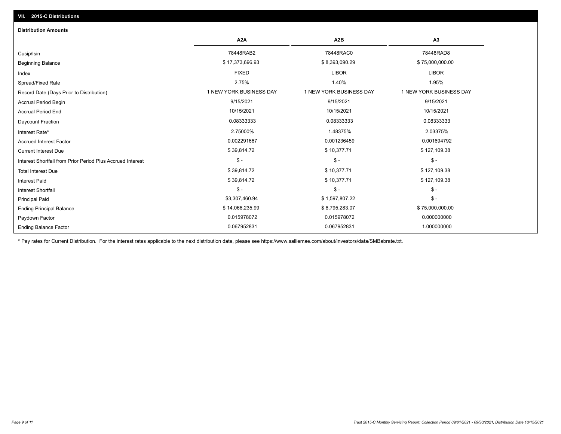| <b>Distribution Amounts</b>                                |                         |                         |                         |
|------------------------------------------------------------|-------------------------|-------------------------|-------------------------|
|                                                            | A <sub>2</sub> A        | A <sub>2</sub> B        | A3                      |
| Cusip/Isin                                                 | 78448RAB2               | 78448RAC0               | 78448RAD8               |
| <b>Beginning Balance</b>                                   | \$17,373,696.93         | \$8,393,090.29          | \$75,000,000.00         |
| Index                                                      | <b>FIXED</b>            | <b>LIBOR</b>            | <b>LIBOR</b>            |
| Spread/Fixed Rate                                          | 2.75%                   | 1.40%                   | 1.95%                   |
| Record Date (Days Prior to Distribution)                   | 1 NEW YORK BUSINESS DAY | 1 NEW YORK BUSINESS DAY | 1 NEW YORK BUSINESS DAY |
| <b>Accrual Period Begin</b>                                | 9/15/2021               | 9/15/2021               | 9/15/2021               |
| <b>Accrual Period End</b>                                  | 10/15/2021              | 10/15/2021              | 10/15/2021              |
| <b>Daycount Fraction</b>                                   | 0.08333333              | 0.08333333              | 0.08333333              |
| Interest Rate*                                             | 2.75000%                | 1.48375%                | 2.03375%                |
| <b>Accrued Interest Factor</b>                             | 0.002291667             | 0.001236459             | 0.001694792             |
| <b>Current Interest Due</b>                                | \$39,814.72             | \$10,377.71             | \$127,109.38            |
| Interest Shortfall from Prior Period Plus Accrued Interest | $\mathsf{\$}$ -         | $\mathsf{\$}$ -         | $\mathsf{\$}$ -         |
| <b>Total Interest Due</b>                                  | \$39,814.72             | \$10,377.71             | \$127,109.38            |
| <b>Interest Paid</b>                                       | \$39,814.72             | \$10,377.71             | \$127,109.38            |
| <b>Interest Shortfall</b>                                  | $$ -$                   | $$ -$                   | $$ -$                   |
| <b>Principal Paid</b>                                      | \$3,307,460.94          | \$1,597,807.22          | $$ -$                   |
| <b>Ending Principal Balance</b>                            | \$14,066,235.99         | \$6,795,283.07          | \$75,000,000.00         |
| Paydown Factor                                             | 0.015978072             | 0.015978072             | 0.000000000             |
| <b>Ending Balance Factor</b>                               | 0.067952831             | 0.067952831             | 1.000000000             |

\* Pay rates for Current Distribution. For the interest rates applicable to the next distribution date, please see https://www.salliemae.com/about/investors/data/SMBabrate.txt.

**VII. 2015-C Distributions**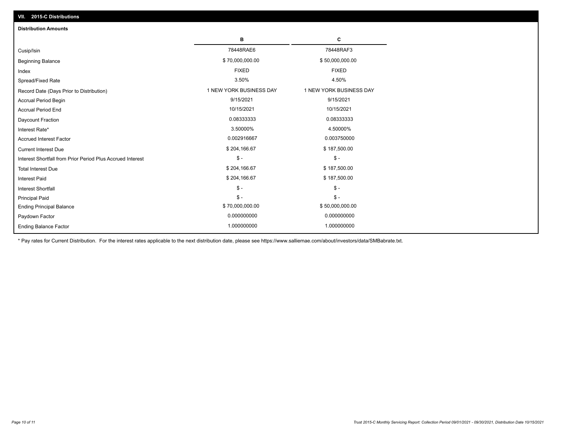| VII. 2015-C Distributions                                  |                         |                         |
|------------------------------------------------------------|-------------------------|-------------------------|
| <b>Distribution Amounts</b>                                |                         |                         |
|                                                            | в                       | С                       |
| Cusip/Isin                                                 | 78448RAE6               | 78448RAF3               |
| <b>Beginning Balance</b>                                   | \$70,000,000.00         | \$50,000,000.00         |
| Index                                                      | <b>FIXED</b>            | <b>FIXED</b>            |
| Spread/Fixed Rate                                          | 3.50%                   | 4.50%                   |
| Record Date (Days Prior to Distribution)                   | 1 NEW YORK BUSINESS DAY | 1 NEW YORK BUSINESS DAY |
| Accrual Period Begin                                       | 9/15/2021               | 9/15/2021               |
| <b>Accrual Period End</b>                                  | 10/15/2021              | 10/15/2021              |
| Daycount Fraction                                          | 0.08333333              | 0.08333333              |
| Interest Rate*                                             | 3.50000%                | 4.50000%                |
| <b>Accrued Interest Factor</b>                             | 0.002916667             | 0.003750000             |
| <b>Current Interest Due</b>                                | \$204,166.67            | \$187,500.00            |
| Interest Shortfall from Prior Period Plus Accrued Interest | $\mathcal{S}$ -         | $\mathsf{\$}$ -         |
| <b>Total Interest Due</b>                                  | \$204,166.67            | \$187,500.00            |
| <b>Interest Paid</b>                                       | \$204,166.67            | \$187,500.00            |
| Interest Shortfall                                         | $\frac{1}{2}$           | $\mathsf{\$}$ -         |
| <b>Principal Paid</b>                                      | $$ -$                   | $\mathsf{\$}$ -         |
| <b>Ending Principal Balance</b>                            | \$70,000,000.00         | \$50,000,000.00         |
| Paydown Factor                                             | 0.000000000             | 0.000000000             |
| <b>Ending Balance Factor</b>                               | 1.000000000             | 1.000000000             |

\* Pay rates for Current Distribution. For the interest rates applicable to the next distribution date, please see https://www.salliemae.com/about/investors/data/SMBabrate.txt.